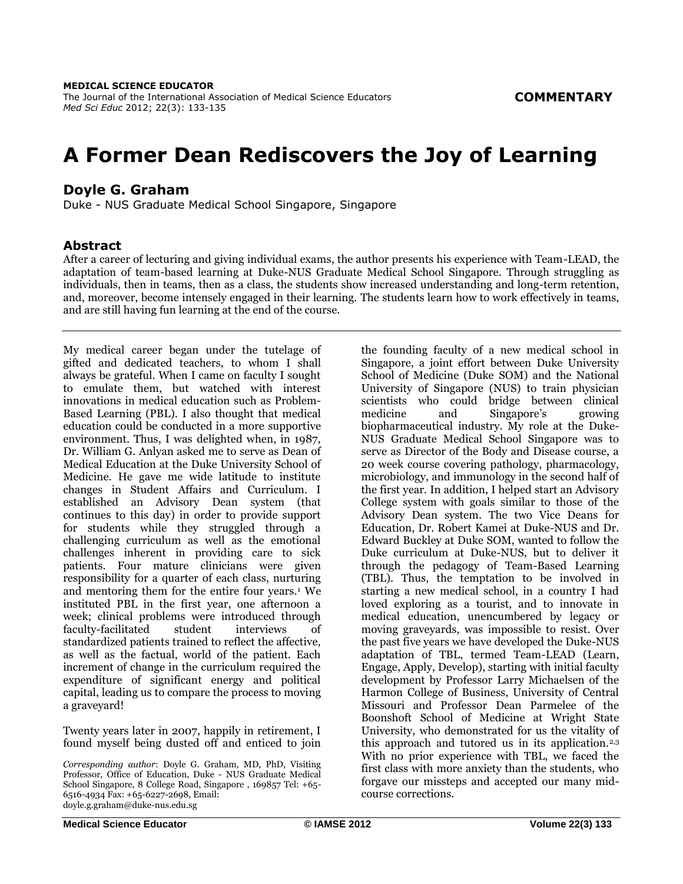# **A Former Dean Rediscovers the Joy of Learning**

# **Doyle G. Graham**

Duke - NUS Graduate Medical School Singapore, Singapore

## **Abstract**

After a career of lecturing and giving individual exams, the author presents his experience with Team-LEAD, the adaptation of team-based learning at Duke-NUS Graduate Medical School Singapore. Through struggling as individuals, then in teams, then as a class, the students show increased understanding and long-term retention, and, moreover, become intensely engaged in their learning. The students learn how to work effectively in teams, and are still having fun learning at the end of the course.

My medical career began under the tutelage of gifted and dedicated teachers, to whom I shall always be grateful. When I came on faculty I sought to emulate them, but watched with interest innovations in medical education such as Problem-Based Learning (PBL). I also thought that medical education could be conducted in a more supportive environment. Thus, I was delighted when, in 1987, Dr. William G. Anlyan asked me to serve as Dean of Medical Education at the Duke University School of Medicine. He gave me wide latitude to institute changes in Student Affairs and Curriculum. I established an Advisory Dean system (that continues to this day) in order to provide support for students while they struggled through a challenging curriculum as well as the emotional challenges inherent in providing care to sick patients. Four mature clinicians were given responsibility for a quarter of each class, nurturing and mentoring them for the entire four years.<sup>1</sup> We instituted PBL in the first year, one afternoon a week; clinical problems were introduced through faculty-facilitated student interviews of standardized patients trained to reflect the affective, as well as the factual, world of the patient. Each increment of change in the curriculum required the expenditure of significant energy and political capital, leading us to compare the process to moving a graveyard!

Twenty years later in 2007, happily in retirement, I found myself being dusted off and enticed to join

*Corresponding author*: Doyle G. Graham, MD, PhD, Visiting Professor, Office of Education, Duke - NUS Graduate Medical School Singapore, 8 College Road, Singapore , 169857 Tel: +65- 6516-4934 Fax: +65-6227-2698, Email: doyle.g.graham@duke-nus.edu.sg

the founding faculty of a new medical school in Singapore, a joint effort between Duke University School of Medicine (Duke SOM) and the National University of Singapore (NUS) to train physician scientists who could bridge between clinical<br>medicine and Singapore's growing Singapore's biopharmaceutical industry. My role at the Duke-NUS Graduate Medical School Singapore was to serve as Director of the Body and Disease course, a 20 week course covering pathology, pharmacology, microbiology, and immunology in the second half of the first year. In addition, I helped start an Advisory College system with goals similar to those of the Advisory Dean system. The two Vice Deans for Education, Dr. Robert Kamei at Duke-NUS and Dr. Edward Buckley at Duke SOM, wanted to follow the Duke curriculum at Duke-NUS, but to deliver it through the pedagogy of Team-Based Learning (TBL). Thus, the temptation to be involved in starting a new medical school, in a country I had loved exploring as a tourist, and to innovate in medical education, unencumbered by legacy or moving graveyards, was impossible to resist. Over the past five years we have developed the Duke-NUS adaptation of TBL, termed Team-LEAD (Learn, Engage, Apply, Develop), starting with initial faculty development by Professor Larry Michaelsen of the Harmon College of Business, University of Central Missouri and Professor Dean Parmelee of the Boonshoft School of Medicine at Wright State University, who demonstrated for us the vitality of this approach and tutored us in its application.2,3 With no prior experience with TBL, we faced the first class with more anxiety than the students, who forgave our missteps and accepted our many midcourse corrections.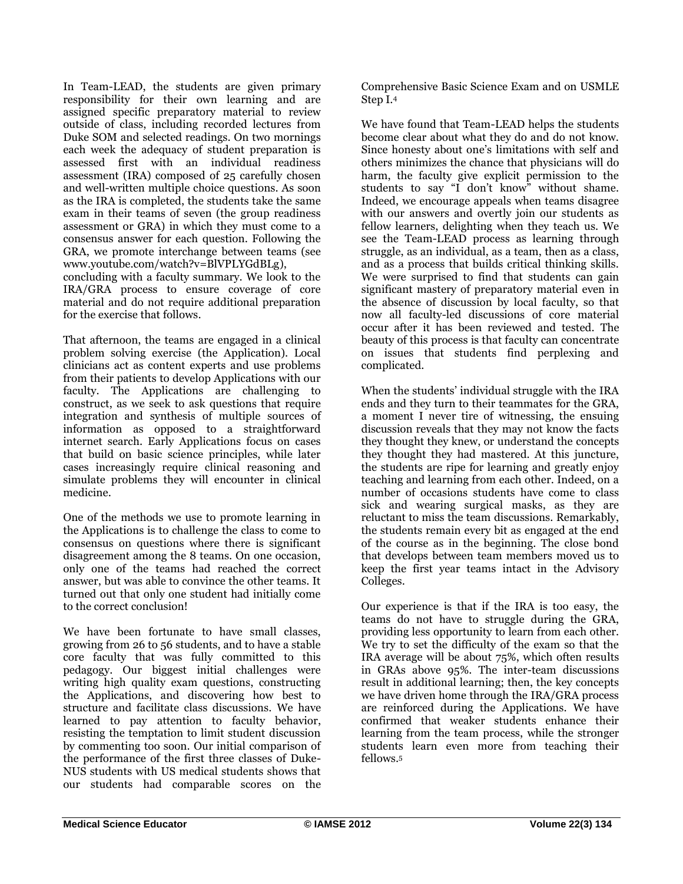In Team-LEAD, the students are given primary responsibility for their own learning and are assigned specific preparatory material to review outside of class, including recorded lectures from Duke SOM and selected readings. On two mornings each week the adequacy of student preparation is assessed first with an individual readiness assessment (IRA) composed of 25 carefully chosen and well-written multiple choice questions. As soon as the IRA is completed, the students take the same exam in their teams of seven (the group readiness assessment or GRA) in which they must come to a consensus answer for each question. Following the GRA, we promote interchange between teams (see www.youtube.com/watch?v=BlVPLYGdBLg),

concluding with a faculty summary. We look to the IRA/GRA process to ensure coverage of core material and do not require additional preparation for the exercise that follows.

That afternoon, the teams are engaged in a clinical problem solving exercise (the Application). Local clinicians act as content experts and use problems from their patients to develop Applications with our faculty. The Applications are challenging to construct, as we seek to ask questions that require integration and synthesis of multiple sources of information as opposed to a straightforward internet search. Early Applications focus on cases that build on basic science principles, while later cases increasingly require clinical reasoning and simulate problems they will encounter in clinical medicine.

One of the methods we use to promote learning in the Applications is to challenge the class to come to consensus on questions where there is significant disagreement among the 8 teams. On one occasion, only one of the teams had reached the correct answer, but was able to convince the other teams. It turned out that only one student had initially come to the correct conclusion!

We have been fortunate to have small classes, growing from 26 to 56 students, and to have a stable core faculty that was fully committed to this pedagogy. Our biggest initial challenges were writing high quality exam questions, constructing the Applications, and discovering how best to structure and facilitate class discussions. We have learned to pay attention to faculty behavior, resisting the temptation to limit student discussion by commenting too soon. Our initial comparison of the performance of the first three classes of Duke-NUS students with US medical students shows that our students had comparable scores on the

Comprehensive Basic Science Exam and on USMLE Step I.<sup>4</sup>

We have found that Team-LEAD helps the students become clear about what they do and do not know. Since honesty about one's limitations with self and others minimizes the chance that physicians will do harm, the faculty give explicit permission to the students to say "I don't know" without shame. Indeed, we encourage appeals when teams disagree with our answers and overtly join our students as fellow learners, delighting when they teach us. We see the Team-LEAD process as learning through struggle, as an individual, as a team, then as a class, and as a process that builds critical thinking skills. We were surprised to find that students can gain significant mastery of preparatory material even in the absence of discussion by local faculty, so that now all faculty-led discussions of core material occur after it has been reviewed and tested. The beauty of this process is that faculty can concentrate on issues that students find perplexing and complicated.

When the students' individual struggle with the IRA ends and they turn to their teammates for the GRA, a moment I never tire of witnessing, the ensuing discussion reveals that they may not know the facts they thought they knew, or understand the concepts they thought they had mastered. At this juncture, the students are ripe for learning and greatly enjoy teaching and learning from each other. Indeed, on a number of occasions students have come to class sick and wearing surgical masks, as they are reluctant to miss the team discussions. Remarkably, the students remain every bit as engaged at the end of the course as in the beginning. The close bond that develops between team members moved us to keep the first year teams intact in the Advisory Colleges.

Our experience is that if the IRA is too easy, the teams do not have to struggle during the GRA, providing less opportunity to learn from each other. We try to set the difficulty of the exam so that the IRA average will be about 75%, which often results in GRAs above 95%. The inter-team discussions result in additional learning; then, the key concepts we have driven home through the IRA/GRA process are reinforced during the Applications. We have confirmed that weaker students enhance their learning from the team process, while the stronger students learn even more from teaching their fellows.5